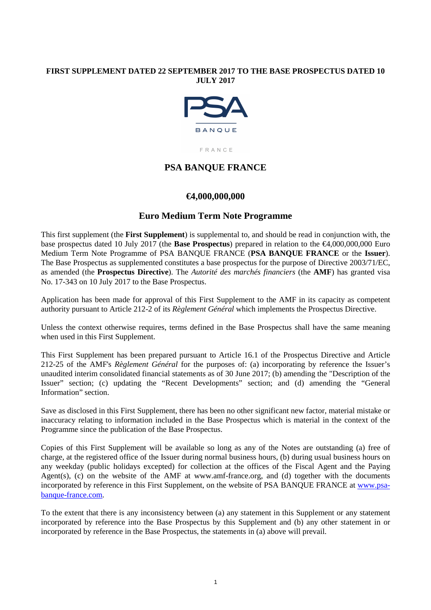# **FIRST SUPPLEMENT DATED 22 SEPTEMBER 2017 TO THE BASE PROSPECTUS DATED 10 JULY 2017**



FRANCE

# **PSA BANQUE FRANCE**

# **€4,000,000,000**

# **Euro Medium Term Note Programme**

This first supplement (the **First Supplement**) is supplemental to, and should be read in conjunction with, the base prospectus dated 10 July 2017 (the **Base Prospectus**) prepared in relation to the €4,000,000,000 Euro Medium Term Note Programme of PSA BANQUE FRANCE (**PSA BANQUE FRANCE** or the **Issuer**). The Base Prospectus as supplemented constitutes a base prospectus for the purpose of Directive 2003/71/EC, as amended (the **Prospectus Directive**). The *Autorité des marchés financiers* (the **AMF**) has granted visa No. 17-343 on 10 July 2017 to the Base Prospectus.

Application has been made for approval of this First Supplement to the AMF in its capacity as competent authority pursuant to Article 212-2 of its *Règlement Général* which implements the Prospectus Directive.

Unless the context otherwise requires, terms defined in the Base Prospectus shall have the same meaning when used in this First Supplement.

This First Supplement has been prepared pursuant to Article 16.1 of the Prospectus Directive and Article 212-25 of the AMF's *Règlement Général* for the purposes of: (a) incorporating by reference the Issuer's unaudited interim consolidated financial statements as of 30 June 2017; (b) amending the "Description of the Issuer" section; (c) updating the "Recent Developments" section; and (d) amending the "General Information" section.

Save as disclosed in this First Supplement, there has been no other significant new factor, material mistake or inaccuracy relating to information included in the Base Prospectus which is material in the context of the Programme since the publication of the Base Prospectus.

Copies of this First Supplement will be available so long as any of the Notes are outstanding (a) free of charge, at the registered office of the Issuer during normal business hours, (b) during usual business hours on any weekday (public holidays excepted) for collection at the offices of the Fiscal Agent and the Paying Agent(s), (c) on the website of the AMF at www.amf-france.org, and (d) together with the documents incorporated by reference in this First Supplement, on the website of PSA BANQUE FRANCE at www.psabanque-france.com.

To the extent that there is any inconsistency between (a) any statement in this Supplement or any statement incorporated by reference into the Base Prospectus by this Supplement and (b) any other statement in or incorporated by reference in the Base Prospectus, the statements in (a) above will prevail.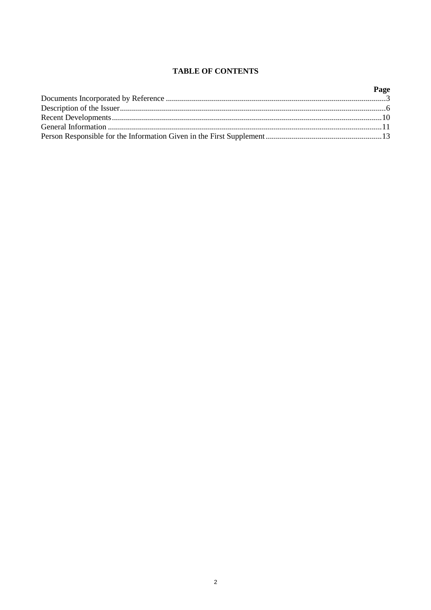# **TABLE OF CONTENTS**

| Page |
|------|
|      |
|      |
|      |
|      |
|      |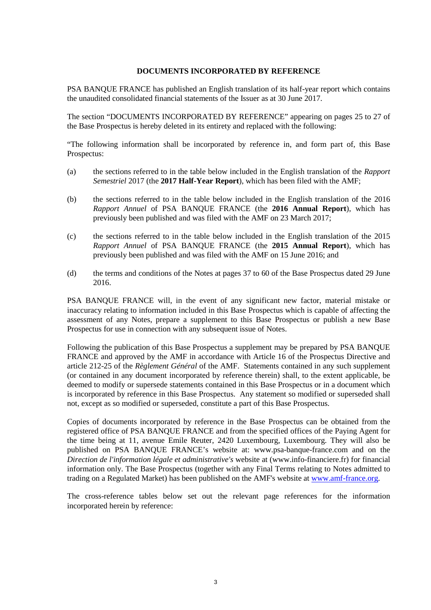## **DOCUMENTS INCORPORATED BY REFERENCE**

PSA BANQUE FRANCE has published an English translation of its half-year report which contains the unaudited consolidated financial statements of the Issuer as at 30 June 2017.

The section "DOCUMENTS INCORPORATED BY REFERENCE" appearing on pages 25 to 27 of the Base Prospectus is hereby deleted in its entirety and replaced with the following:

"The following information shall be incorporated by reference in, and form part of, this Base Prospectus:

- (a) the sections referred to in the table below included in the English translation of the *Rapport Semestriel* 2017 (the **2017 Half-Year Report**), which has been filed with the AMF;
- (b) the sections referred to in the table below included in the English translation of the 2016 *Rapport Annuel* of PSA BANQUE FRANCE (the **2016 Annual Report**), which has previously been published and was filed with the AMF on 23 March 2017;
- (c) the sections referred to in the table below included in the English translation of the 2015 *Rapport Annuel* of PSA BANQUE FRANCE (the **2015 Annual Report**), which has previously been published and was filed with the AMF on 15 June 2016; and
- (d) the terms and conditions of the Notes at pages 37 to 60 of the Base Prospectus dated 29 June 2016.

PSA BANQUE FRANCE will, in the event of any significant new factor, material mistake or inaccuracy relating to information included in this Base Prospectus which is capable of affecting the assessment of any Notes, prepare a supplement to this Base Prospectus or publish a new Base Prospectus for use in connection with any subsequent issue of Notes.

Following the publication of this Base Prospectus a supplement may be prepared by PSA BANQUE FRANCE and approved by the AMF in accordance with Article 16 of the Prospectus Directive and article 212-25 of the *Règlement Général* of the AMF. Statements contained in any such supplement (or contained in any document incorporated by reference therein) shall, to the extent applicable, be deemed to modify or supersede statements contained in this Base Prospectus or in a document which is incorporated by reference in this Base Prospectus. Any statement so modified or superseded shall not, except as so modified or superseded, constitute a part of this Base Prospectus.

Copies of documents incorporated by reference in the Base Prospectus can be obtained from the registered office of PSA BANQUE FRANCE and from the specified offices of the Paying Agent for the time being at 11, avenue Emile Reuter, 2420 Luxembourg, Luxembourg. They will also be published on PSA BANQUE FRANCE's website at: www.psa-banque-france.com and on the *Direction de l'information légale et administrative's* website at (www.info-financiere.fr) for financial information only. The Base Prospectus (together with any Final Terms relating to Notes admitted to trading on a Regulated Market) has been published on the AMF's website at www.amf-france.org.

The cross-reference tables below set out the relevant page references for the information incorporated herein by reference: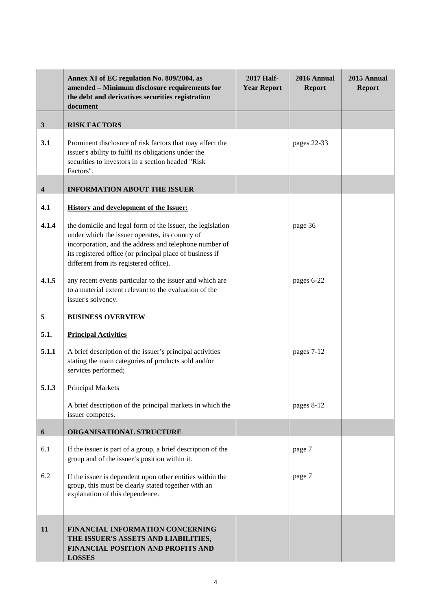|                         | Annex XI of EC regulation No. 809/2004, as<br>amended - Minimum disclosure requirements for<br>the debt and derivatives securities registration<br>document                                                                                                                   | <b>2017 Half-</b><br><b>Year Report</b> | 2016 Annual<br><b>Report</b> | 2015 Annual<br><b>Report</b> |
|-------------------------|-------------------------------------------------------------------------------------------------------------------------------------------------------------------------------------------------------------------------------------------------------------------------------|-----------------------------------------|------------------------------|------------------------------|
| $\mathbf{3}$            | <b>RISK FACTORS</b>                                                                                                                                                                                                                                                           |                                         |                              |                              |
| 3.1                     | Prominent disclosure of risk factors that may affect the<br>issuer's ability to fulfil its obligations under the<br>securities to investors in a section headed "Risk<br>Factors".                                                                                            |                                         | pages 22-33                  |                              |
| $\overline{\mathbf{4}}$ | <b>INFORMATION ABOUT THE ISSUER</b>                                                                                                                                                                                                                                           |                                         |                              |                              |
| 4.1                     | <b>History and development of the Issuer:</b>                                                                                                                                                                                                                                 |                                         |                              |                              |
| 4.1.4                   | the domicile and legal form of the issuer, the legislation<br>under which the issuer operates, its country of<br>incorporation, and the address and telephone number of<br>its registered office (or principal place of business if<br>different from its registered office). |                                         | page 36                      |                              |
| 4.1.5                   | any recent events particular to the issuer and which are<br>to a material extent relevant to the evaluation of the<br>issuer's solvency.                                                                                                                                      |                                         | pages 6-22                   |                              |
| 5                       | <b>BUSINESS OVERVIEW</b>                                                                                                                                                                                                                                                      |                                         |                              |                              |
| 5.1.                    | <b>Principal Activities</b>                                                                                                                                                                                                                                                   |                                         |                              |                              |
| 5.1.1                   | A brief description of the issuer's principal activities<br>stating the main categories of products sold and/or<br>services performed;                                                                                                                                        |                                         | pages 7-12                   |                              |
| 5.1.3                   | Principal Markets                                                                                                                                                                                                                                                             |                                         |                              |                              |
|                         | A brief description of the principal markets in which the<br>issuer competes.                                                                                                                                                                                                 |                                         | pages 8-12                   |                              |
| 6                       | ORGANISATIONAL STRUCTURE                                                                                                                                                                                                                                                      |                                         |                              |                              |
| 6.1                     | If the issuer is part of a group, a brief description of the<br>group and of the issuer's position within it.                                                                                                                                                                 |                                         | page 7                       |                              |
| 6.2                     | If the issuer is dependent upon other entities within the<br>group, this must be clearly stated together with an<br>explanation of this dependence.                                                                                                                           |                                         | page 7                       |                              |
| 11                      | <b>FINANCIAL INFORMATION CONCERNING</b><br>THE ISSUER'S ASSETS AND LIABILITIES,<br>FINANCIAL POSITION AND PROFITS AND<br><b>LOSSES</b>                                                                                                                                        |                                         |                              |                              |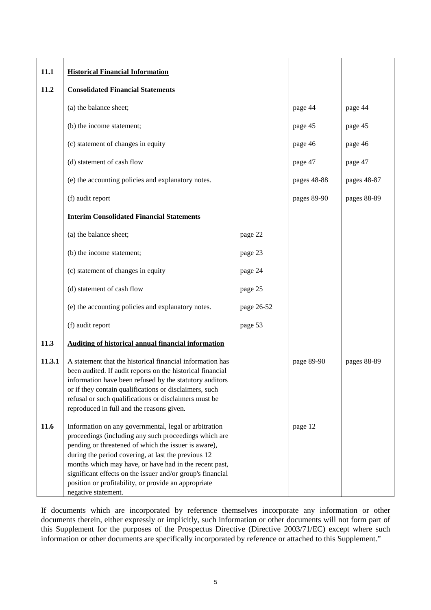| 11.1   | <b>Historical Financial Information</b>                                                                                                                                                                                                                                                                                                                                                                                              |            |             |             |
|--------|--------------------------------------------------------------------------------------------------------------------------------------------------------------------------------------------------------------------------------------------------------------------------------------------------------------------------------------------------------------------------------------------------------------------------------------|------------|-------------|-------------|
| 11.2   | <b>Consolidated Financial Statements</b>                                                                                                                                                                                                                                                                                                                                                                                             |            |             |             |
|        | (a) the balance sheet;                                                                                                                                                                                                                                                                                                                                                                                                               |            | page 44     | page 44     |
|        | (b) the income statement;                                                                                                                                                                                                                                                                                                                                                                                                            |            | page 45     | page 45     |
|        | (c) statement of changes in equity                                                                                                                                                                                                                                                                                                                                                                                                   |            | page 46     | page 46     |
|        | (d) statement of cash flow                                                                                                                                                                                                                                                                                                                                                                                                           |            | page 47     | page 47     |
|        | (e) the accounting policies and explanatory notes.                                                                                                                                                                                                                                                                                                                                                                                   |            | pages 48-88 | pages 48-87 |
|        | (f) audit report                                                                                                                                                                                                                                                                                                                                                                                                                     |            | pages 89-90 | pages 88-89 |
|        | <b>Interim Consolidated Financial Statements</b>                                                                                                                                                                                                                                                                                                                                                                                     |            |             |             |
|        | (a) the balance sheet;                                                                                                                                                                                                                                                                                                                                                                                                               | page 22    |             |             |
|        | (b) the income statement;                                                                                                                                                                                                                                                                                                                                                                                                            | page 23    |             |             |
|        | (c) statement of changes in equity                                                                                                                                                                                                                                                                                                                                                                                                   | page 24    |             |             |
|        | (d) statement of cash flow                                                                                                                                                                                                                                                                                                                                                                                                           | page 25    |             |             |
|        | (e) the accounting policies and explanatory notes.                                                                                                                                                                                                                                                                                                                                                                                   | page 26-52 |             |             |
|        | (f) audit report                                                                                                                                                                                                                                                                                                                                                                                                                     | page 53    |             |             |
| 11.3   | Auditing of historical annual financial information                                                                                                                                                                                                                                                                                                                                                                                  |            |             |             |
| 11.3.1 | A statement that the historical financial information has<br>been audited. If audit reports on the historical financial<br>information have been refused by the statutory auditors<br>or if they contain qualifications or disclaimers, such<br>refusal or such qualifications or disclaimers must be<br>reproduced in full and the reasons given.                                                                                   |            | page 89-90  | pages 88-89 |
| 11.6   | Information on any governmental, legal or arbitration<br>proceedings (including any such proceedings which are<br>pending or threatened of which the issuer is aware),<br>during the period covering, at last the previous 12<br>months which may have, or have had in the recent past,<br>significant effects on the issuer and/or group's financial<br>position or profitability, or provide an appropriate<br>negative statement. |            | page 12     |             |

If documents which are incorporated by reference themselves incorporate any information or other documents therein, either expressly or implicitly, such information or other documents will not form part of this Supplement for the purposes of the Prospectus Directive (Directive 2003/71/EC) except where such information or other documents are specifically incorporated by reference or attached to this Supplement."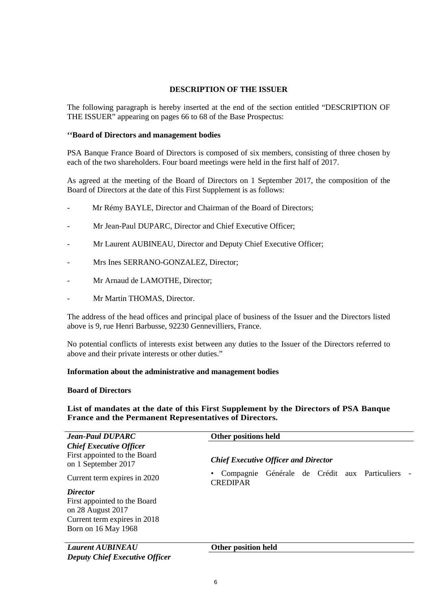## **DESCRIPTION OF THE ISSUER**

The following paragraph is hereby inserted at the end of the section entitled "DESCRIPTION OF THE ISSUER" appearing on pages 66 to 68 of the Base Prospectus:

## **''Board of Directors and management bodies**

PSA Banque France Board of Directors is composed of six members, consisting of three chosen by each of the two shareholders. Four board meetings were held in the first half of 2017.

As agreed at the meeting of the Board of Directors on 1 September 2017, the composition of the Board of Directors at the date of this First Supplement is as follows:

- Mr Rémy BAYLE, Director and Chairman of the Board of Directors;
- Mr Jean-Paul DUPARC, Director and Chief Executive Officer;
- Mr Laurent AUBINEAU, Director and Deputy Chief Executive Officer;
- Mrs Ines SERRANO-GONZALEZ, Director;
- Mr Arnaud de LAMOTHE, Director;
- Mr Martin THOMAS, Director.

The address of the head offices and principal place of business of the Issuer and the Directors listed above is 9, rue Henri Barbusse, 92230 Gennevilliers, France.

No potential conflicts of interests exist between any duties to the Issuer of the Directors referred to above and their private interests or other duties."

### **Information about the administrative and management bodies**

#### **Board of Directors**

**List of mandates at the date of this First Supplement by the Directors of PSA Banque France and the Permanent Representatives of Directors.** 

| <b>Jean-Paul DUPARC</b>                                                               | Other positions held                                                |
|---------------------------------------------------------------------------------------|---------------------------------------------------------------------|
| <b>Chief Executive Officer</b><br>First appointed to the Board<br>on 1 September 2017 | <b>Chief Executive Officer and Director</b>                         |
| Current term expires in 2020                                                          | Générale de Crédit aux Particuliers<br>Compagnie<br><b>CREDIPAR</b> |
| <b>Director</b>                                                                       |                                                                     |
| First appointed to the Board                                                          |                                                                     |
| on 28 August 2017                                                                     |                                                                     |
| Current term expires in 2018                                                          |                                                                     |
| Born on 16 May 1968                                                                   |                                                                     |
| <b>Laurent AUBINEAU</b>                                                               | Other position held                                                 |
| <b>Deputy Chief Executive Officer</b>                                                 |                                                                     |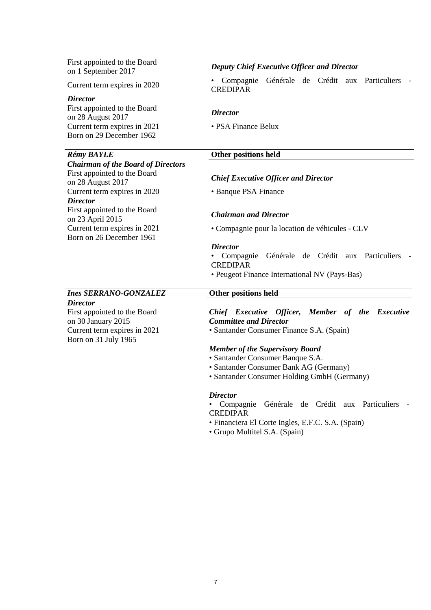First appointed to the Board

#### *Director*

First appointed to the Board on 28 August 2017 *Director* Current term expires in 2021 • PSA Finance Belux Born on 29 December 1962

### *Chairman of the Board of Directors*

First appointed to the Board on 28 August 2017 *Chief Executive Officer and Director*  Current term expires in 2020 • Banque PSA Finance *Director* First appointed to the Board on 23 April 2015 *Chairman and Director*  Born on 26 December 1961

# *Ines SERRANO-GONZALEZ* **Other positions held**

*Director*  First appointed to the Board on 30 January 2015 Born on 31 July 1965

# on 1 September 2017 *Deputy Chief Executive Officer and Director*

Current term expires in 2020 • Compagnie Générale de Crédit aux Particuliers - CREDIPAR

## *Rémy BAYLE* **Other positions held**

Current term expires in 2021 • Compagnie pour la location de véhicules - CLV

#### *Director*

- Compagnie Générale de Crédit aux Particuliers CREDIPAR
- Peugeot Finance International NV (Pays-Bas)

*Chief Executive Officer, Member of the Executive Committee and Director* 

Current term expires in 2021 • Santander Consumer Finance S.A. (Spain)

#### *Member of the Supervisory Board*

- Santander Consumer Banque S.A.
- Santander Consumer Bank AG (Germany)
- Santander Consumer Holding GmbH (Germany)

#### *Director*

• Compagnie Générale de Crédit aux Particuliers - CREDIPAR

- Financiera El Corte Ingles, E.F.C. S.A. (Spain)
- Grupo Multitel S.A. (Spain)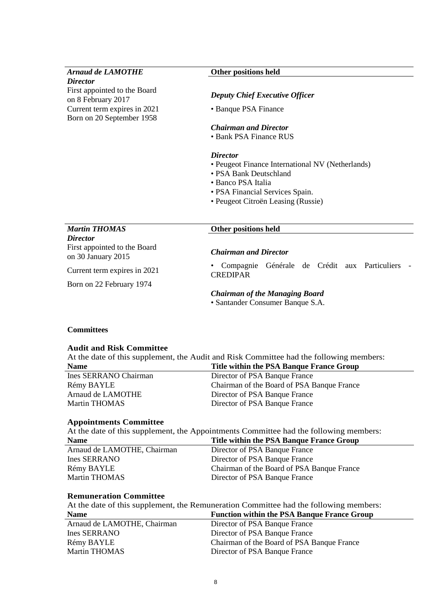*Director*  First appointed to the Board on 8 February 2017 *Deputy Chief Executive Officer*  Current term expires in 2021 • Banque PSA Finance Born on 20 September 1958

#### *Arnaud de LAMOTHE* **Other positions held**

## *Chairman and Director*

• Bank PSA Finance RUS

#### *Director*

- Peugeot Finance International NV (Netherlands)
- PSA Bank Deutschland
- Banco PSA Italia
- PSA Financial Services Spain.
- Peugeot Citroën Leasing (Russie)

# *Martin THOMAS* **Other positions held**  *Director*

First appointed to the Board on 30 January 2015 *Chairman and Director*

Current term expires in 2021 • Compagnie Générale de Crédit aux Particuliers - **CREDIPAR** 

# Born on 22 February 1974

#### *Chairman of the Managing Board*

• Santander Consumer Banque S.A.

## **Committees**

#### **Audit and Risk Committee**

At the date of this supplement, the Audit and Risk Committee had the following members: **Name Title within the PSA Banque France Group** 

| Ines SERRANO Chairman | Director of PSA Banque France              |
|-----------------------|--------------------------------------------|
| Rémy BAYLE            | Chairman of the Board of PSA Banque France |
| Arnaud de LAMOTHE     | Director of PSA Banque France              |
| Martin THOMAS         | Director of PSA Banque France              |
|                       |                                            |

#### **Appointments Committee**

| At the date of this supplement, the Appointments Committee had the following members: |                                            |  |
|---------------------------------------------------------------------------------------|--------------------------------------------|--|
| <b>Name</b>                                                                           | Title within the PSA Banque France Group   |  |
| Arnaud de LAMOTHE, Chairman                                                           | Director of PSA Banque France              |  |
| Ines SERRANO                                                                          | Director of PSA Banque France              |  |
| Rémy BAYLE                                                                            | Chairman of the Board of PSA Banque France |  |
| <b>Martin THOMAS</b>                                                                  | Director of PSA Banque France              |  |

#### **Remuneration Committee**

At the date of this supplement, the Remuneration Committee had the following members: **Name Function within the PSA Banque France Group** 

| THAMIL                      | Punction within the FDA Dangue Plance Group |
|-----------------------------|---------------------------------------------|
| Arnaud de LAMOTHE, Chairman | Director of PSA Banque France               |
| Ines SERRANO                | Director of PSA Banque France               |
| Rémy BAYLE                  | Chairman of the Board of PSA Banque France  |
| Martin THOMAS               | Director of PSA Banque France               |
|                             |                                             |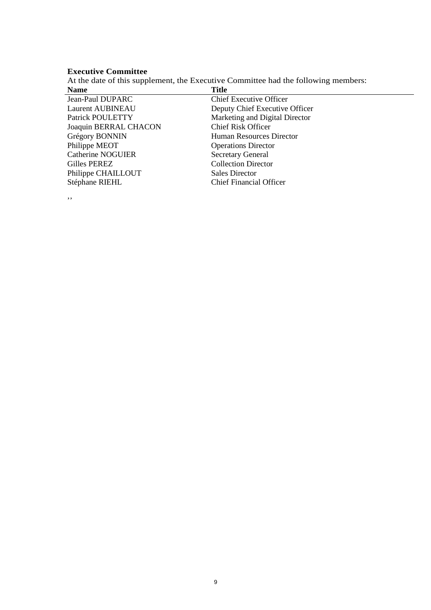# **Executive Committee**

At the date of this supplement, the Executive Committee had the following members:

| <b>Name</b>              | <b>Title</b>                   |
|--------------------------|--------------------------------|
| Jean-Paul DUPARC         | <b>Chief Executive Officer</b> |
| Laurent AUBINEAU         | Deputy Chief Executive Officer |
| Patrick POULETTY         | Marketing and Digital Director |
| Joaquin BERRAL CHACON    | <b>Chief Risk Officer</b>      |
| Grégory BONNIN           | Human Resources Director       |
| Philippe MEOT            | <b>Operations Director</b>     |
| <b>Catherine NOGUIER</b> | <b>Secretary General</b>       |
| Gilles PEREZ             | <b>Collection Director</b>     |
| Philippe CHAILLOUT       | <b>Sales Director</b>          |
| Stéphane RIEHL           | <b>Chief Financial Officer</b> |
|                          |                                |

''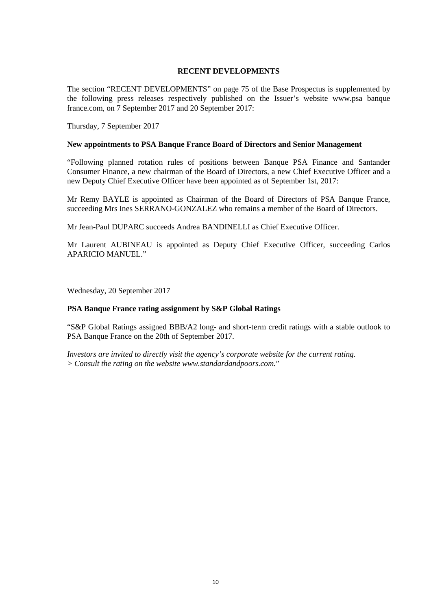### **RECENT DEVELOPMENTS**

The section "RECENT DEVELOPMENTS" on page 75 of the Base Prospectus is supplemented by the following press releases respectively published on the Issuer's website www.psa banque france.com, on 7 September 2017 and 20 September 2017:

Thursday, 7 September 2017

#### **New appointments to PSA Banque France Board of Directors and Senior Management**

"Following planned rotation rules of positions between Banque PSA Finance and Santander Consumer Finance, a new chairman of the Board of Directors, a new Chief Executive Officer and a new Deputy Chief Executive Officer have been appointed as of September 1st, 2017:

Mr Remy BAYLE is appointed as Chairman of the Board of Directors of PSA Banque France, succeeding Mrs Ines SERRANO-GONZALEZ who remains a member of the Board of Directors.

Mr Jean-Paul DUPARC succeeds Andrea BANDINELLI as Chief Executive Officer.

Mr Laurent AUBINEAU is appointed as Deputy Chief Executive Officer, succeeding Carlos APARICIO MANUEL."

Wednesday, 20 September 2017

### **PSA Banque France rating assignment by S&P Global Ratings**

"S&P Global Ratings assigned BBB/A2 long- and short-term credit ratings with a stable outlook to PSA Banque France on the 20th of September 2017.

*Investors are invited to directly visit the agency's corporate website for the current rating. > Consult the rating on the website www.standardandpoors.com.*"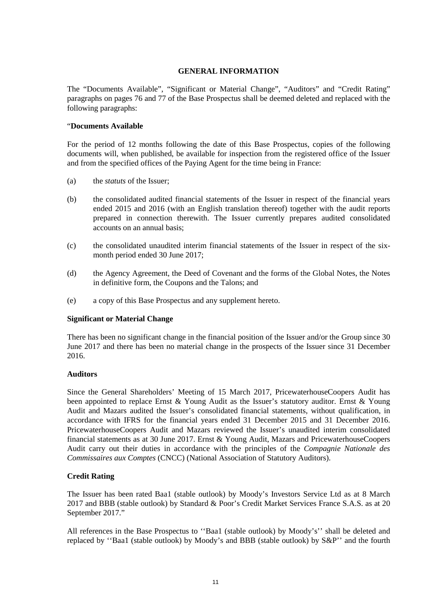## **GENERAL INFORMATION**

The "Documents Available", "Significant or Material Change", "Auditors" and "Credit Rating" paragraphs on pages 76 and 77 of the Base Prospectus shall be deemed deleted and replaced with the following paragraphs:

### "**Documents Available**

For the period of 12 months following the date of this Base Prospectus, copies of the following documents will, when published, be available for inspection from the registered office of the Issuer and from the specified offices of the Paying Agent for the time being in France:

- (a) the *statuts* of the Issuer;
- (b) the consolidated audited financial statements of the Issuer in respect of the financial years ended 2015 and 2016 (with an English translation thereof) together with the audit reports prepared in connection therewith. The Issuer currently prepares audited consolidated accounts on an annual basis;
- (c) the consolidated unaudited interim financial statements of the Issuer in respect of the sixmonth period ended 30 June 2017;
- (d) the Agency Agreement, the Deed of Covenant and the forms of the Global Notes, the Notes in definitive form, the Coupons and the Talons; and
- (e) a copy of this Base Prospectus and any supplement hereto.

### **Significant or Material Change**

There has been no significant change in the financial position of the Issuer and/or the Group since 30 June 2017 and there has been no material change in the prospects of the Issuer since 31 December 2016.

### **Auditors**

Since the General Shareholders' Meeting of 15 March 2017, PricewaterhouseCoopers Audit has been appointed to replace Ernst & Young Audit as the Issuer's statutory auditor. Ernst & Young Audit and Mazars audited the Issuer's consolidated financial statements, without qualification, in accordance with IFRS for the financial years ended 31 December 2015 and 31 December 2016. PricewaterhouseCoopers Audit and Mazars reviewed the Issuer's unaudited interim consolidated financial statements as at 30 June 2017. Ernst & Young Audit, Mazars and PricewaterhouseCoopers Audit carry out their duties in accordance with the principles of the *Compagnie Nationale des Commissaires aux Comptes* (CNCC) (National Association of Statutory Auditors).

# **Credit Rating**

The Issuer has been rated Baa1 (stable outlook) by Moody's Investors Service Ltd as at 8 March 2017 and BBB (stable outlook) by Standard & Poor's Credit Market Services France S.A.S. as at 20 September 2017."

All references in the Base Prospectus to ''Baa1 (stable outlook) by Moody's'' shall be deleted and replaced by ''Baa1 (stable outlook) by Moody's and BBB (stable outlook) by S&P'' and the fourth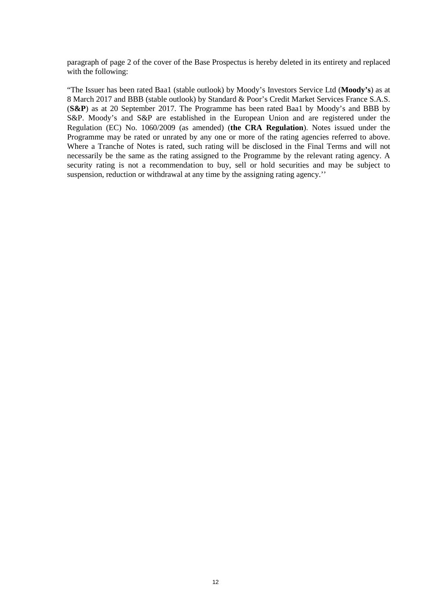paragraph of page 2 of the cover of the Base Prospectus is hereby deleted in its entirety and replaced with the following:

"The Issuer has been rated Baa1 (stable outlook) by Moody's Investors Service Ltd (**Moody's**) as at 8 March 2017 and BBB (stable outlook) by Standard & Poor's Credit Market Services France S.A.S. (**S&P**) as at 20 September 2017. The Programme has been rated Baa1 by Moody's and BBB by S&P. Moody's and S&P are established in the European Union and are registered under the Regulation (EC) No. 1060/2009 (as amended) (**the CRA Regulation**). Notes issued under the Programme may be rated or unrated by any one or more of the rating agencies referred to above. Where a Tranche of Notes is rated, such rating will be disclosed in the Final Terms and will not necessarily be the same as the rating assigned to the Programme by the relevant rating agency. A security rating is not a recommendation to buy, sell or hold securities and may be subject to suspension, reduction or withdrawal at any time by the assigning rating agency.''